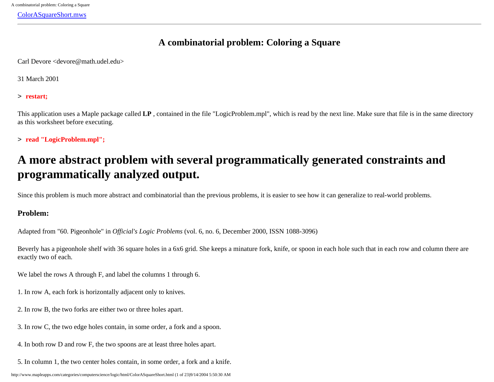<span id="page-0-0"></span>[ColorASquareShort.mws](#page-0-0)

# **A combinatorial problem: Coloring a Square**

Carl Devore <devore@math.udel.edu>

31 March 2001

> **restart;**

This application uses a Maple package called **LP** , contained in the file "LogicProblem.mpl", which is read by the next line. Make sure that file is in the same directory as this worksheet before executing.

> **read "LogicProblem.mpl";**

# **A more abstract problem with several programmatically generated constraints and programmatically analyzed output.**

Since this problem is much more abstract and combinatorial than the previous problems, it is easier to see how it can generalize to real-world problems.

## **Problem:**

Adapted from "60. Pigeonhole" in *Official's Logic Problems* (vol. 6, no. 6, December 2000, ISSN 1088-3096)

Beverly has a pigeonhole shelf with 36 square holes in a 6x6 grid. She keeps a minature fork, knife, or spoon in each hole such that in each row and column there are exactly two of each.

We label the rows A through F, and label the columns 1 through 6.

- 1. In row A, each fork is horizontally adjacent only to knives.
- 2. In row B, the two forks are either two or three holes apart.
- 3. In row C, the two edge holes contain, in some order, a fork and a spoon.
- 4. In both row D and row F, the two spoons are at least three holes apart.
- 5. In column 1, the two center holes contain, in some order, a fork and a knife.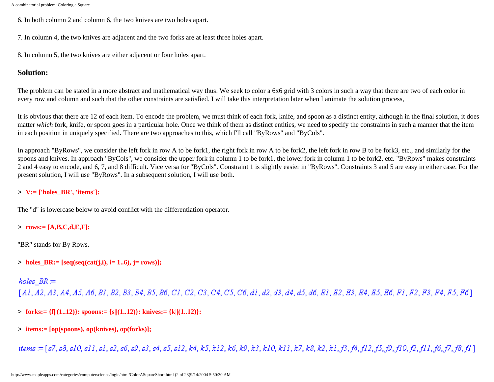- 6. In both column 2 and column 6, the two knives are two holes apart.
- 7. In column 4, the two knives are adjacent and the two forks are at least three holes apart.
- 8. In column 5, the two knives are either adjacent or four holes apart.

### **Solution:**

The problem can be stated in a more abstract and mathematical way thus: We seek to color a 6x6 grid with 3 colors in such a way that there are two of each color in every row and column and such that the other constraints are satisfied. I will take this interpretation later when I animate the solution process,

It is obvious that there are 12 of each item. To encode the problem, we must think of each fork, knife, and spoon as a distinct entity, although in the final solution, it does matter *which* fork, knife, or spoon goes in a particular hole. Once we think of them as distinct entities, we need to specify the constraints in such a manner that the item in each position in uniquely specified. There are two approaches to this, which I'll call "ByRows" and "ByCols".

In approach "ByRows", we consider the left fork in row A to be fork1, the right fork in row A to be fork2, the left fork in row B to be fork3, etc., and similarly for the spoons and knives. In approach "ByCols", we consider the upper fork in column 1 to be fork1, the lower fork in column 1 to be fork2, etc. "ByRows" makes constraints 2 and 4 easy to encode, and 6, 7, and 8 difficult. Vice versa for "ByCols". Constraint 1 is slightly easier in "ByRows". Constraints 3 and 5 are easy in either case. For the present solution, I will use "ByRows". In a subsequent solution, I will use both.

## > **V:= ['holes\_BR', 'items']:**

The "d" is lowercase below to avoid conflict with the differentiation operator.

### > **rows:= [A,B,C,d,E,F]:**

"BR" stands for By Rows.

 $>$  holes BR:= [seq(seq(cat(j,i), i= 1..6), j= rows)];

holes  $BR =$ 

 $[A1, A2, A3, A4, A5, A6, B1, B2, B3, B4, B5, B6, C1, C2, C3, C4, C5, C6, d1, d2, d3, d4, d5, d6, El, E2, E3, E4, E5, E6, Fl, F2, F3, F4, F5, F6]$ 

- > **forks:= {f||(1..12)}: spoons:= {s||(1..12)}: knives:= {k||(1..12)}:**
- > **items:= [op(spoons), op(knives), op(forks)];**

items = [s7, s8, s10, s11, s1, s2, s6, s9, s3, s4, s5, s12, k4, k5, k12, k6, k9, k3, k10, k11, k7, k8, k2, k1, f3, f4, f12, f3, f9, f1, f3, f11, f6, f7, f8, f1]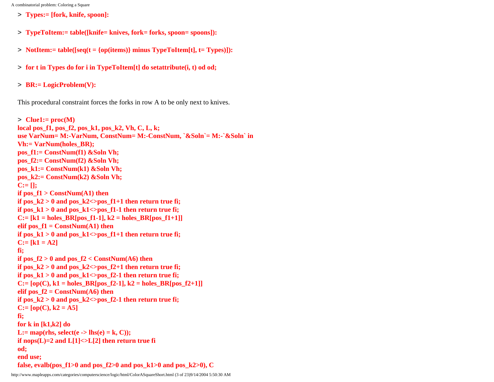- > **Types:= [fork, knife, spoon]:**
- > **TypeToItem:= table([knife= knives, fork= forks, spoon= spoons]):**
- > **NotItem:= table([seq(t = {op(items)} minus TypeToItem[t], t= Types)]):**
- > **for t in Types do for i in TypeToItem[t] do setattribute(i, t) od od;**
- > **BR:= LogicProblem(V):**

This procedural constraint forces the forks in row A to be only next to knives.

```
> Clue1:= proc(M)
local pos_f1, pos_f2, pos_k1, pos_k2, Vh, C, L, k;
use VarNum= M:-VarNum, ConstNum= M:-ConstNum, `&Soln`= M:-`&Soln` in
Vh:= VarNum(holes_BR);
pos_f1:= ConstNum(f1) &Soln Vh;
pos_f2:= ConstNum(f2) &Soln Vh;
pos_k1:= ConstNum(k1) &Soln Vh;
pos_k2:= ConstNum(k2) &Soln Vh;
C:= [];
if pos f1 > ConstNum(A1) then
if pos_k2 > 0 and pos_k2 <>pos_f1+1 then return true fi;
if pos k1 > 0 and pos k1 < pos f1-1 then return true fi;
C:= [k1 = holes\_BR[pos_f1-1], k2 = holes\_BR[pos_f1+1]]elif pos f1 = ConstNum(A1) then
if pos_k1 > 0 and pos_k1 <>pos_f1+1 then return true fi;
C:= [k1 = A2]fi;
if pos f2 > 0 and pos f2 < ConstNum(A6) then
if pos_k2 > 0 and pos_k2 <>pos_f2+1 then return true fi;
if pos_k1 > 0 and pos_k1 <>pos_f2-1 then return true fi;
C := [op(C), k1 = holes\_BR[pos_12-1], k2 = holes\_BR[pos_12+1]]elif pos f2 = ConstNum(A6) then
if pos_k2 > 0 and pos_k2 <>pos_f2-1 then return true fi;
C:= [op(C), k2 = A5]fi;
for k in [k1,k2] do
L:= \text{map}(\text{rhs}, \text{select}(e -> \text{lls}(e) = k, C));if nops(L)=2 and L[1]<>L[2] then return true fi
od; 
end use; 
false, evalb(pos_f1>0 and pos_f2>0 and pos_k1>0 and pos_k2>0), C
```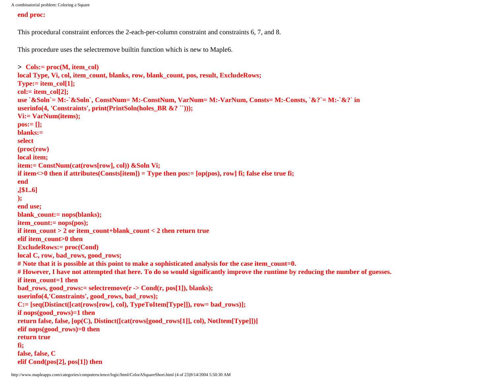#### **end proc:**

This procedural constraint enforces the 2-each-per-column constraint and constraints 6, 7, and 8.

This procedure uses the selectremove builtin function which is new to Maple6.

```
> Cols:= proc(M, item_col)
local Type, Vi, col, item_count, blanks, row, blank_count, pos, result, ExcludeRows;
Type:= item_col[1];
col:= item_col[2];
use `&Soln`= M:-`&Soln`, ConstNum= M:-ConstNum, VarNum= M:-VarNum, Consts= M:-Consts, `&?`= M:-`&?` in
userinfo(4, 'Constraints', print(PrintSoln(holes BR &? ``)));
Vi:= VarNum(items); 
pos:= [];
blanks:= 
select
(proc(row)
local item;
item:= ConstNum(cat(rows[row], col)) &Soln Vi;
if item\langle 0 \rangle then if attributes(Consts[item]) = Type then pos:= [op(pos), row] fi; false else true fi;
end
,[$1..6]
);
end use;
blank_count:= nops(blanks);
item_count:= nops(pos);
if item_count > 2 or item_count+blank_count < 2 then return true
elif item_count>0 then
ExcludeRows:= proc(Cond)
local C, row, bad_rows, good_rows;
# Note that it is possible at this point to make a sophisticated analysis for the case item_count=0.
# However, I have not attempted that here. To do so would significantly improve the runtime by reducing the number of guesses.
if item_count=1 then
bad_rows, good_rows:= selectremove(r -> Cond(r, pos[1]), blanks);
userinfo(4,'Constraints', good_rows, bad_rows); 
C:= [seq(Distinct([cat(rows[row], col), TypeToItem[Type]]), row= bad_rows)];
if nops(good_rows)=1 then 
return false, false, [op(C), Distinct([cat(rows[good_rows[1]], col), NotItem[Type]])]
elif nops(good_rows)=0 then
return true
fi;
false, false, C 
elif Cond(pos[2], pos[1]) then
```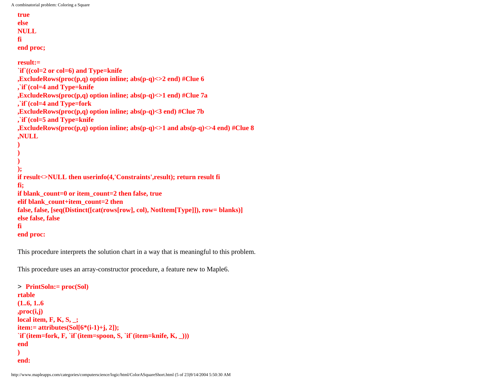```
true 
else
NULL
fi
end proc;
result:=
```

```
`if`((col=2 or col=6) and Type=knife 
,ExcludeRows(proc(p,q) option inline; abs(p-q)<>2 end) #Clue 6
,`if`(col=4 and Type=knife
,ExcludeRows(proc(p,q) option inline; abs(p-q)<>1 end) #Clue 7a 
,`if`(col=4 and Type=fork 
,ExcludeRows(proc(p,q) option inline; abs(p-q)<3 end) #Clue 7b
,`if`(col=5 and Type=knife
,ExcludeRows(proc(p,q) option inline; abs(p-q)<>1 and abs(p-q)<>4 end) #Clue 8
,NULL
)
)
)
);
if result<>NULL then userinfo(4,'Constraints',result); return result fi
fi;
if blank_count=0 or item_count=2 then false, true 
elif blank_count+item_count=2 then
false, false, [seq(Distinct([cat(rows[row], col), NotItem[Type]]), row= blanks)]
else false, false
fi 
end proc:
```
This procedure interprets the solution chart in a way that is meaningful to this problem.

This procedure uses an array-constructor procedure, a feature new to Maple6.

```
> PrintSoln:= proc(Sol)
rtable
(1..6, 1..6
,proc(i,j) 
local item, F, K, S, _; 
item:= attributes(Sol[6*(i-1)+j, 2]); 
`if`(item=fork, F, `if`(item=spoon, S, `if`(item=knife, K, _))) 
end
)
end:
```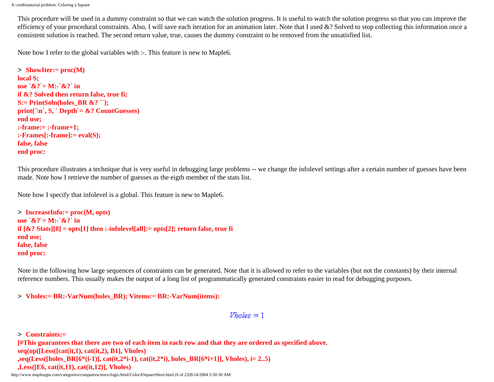This procedure will be used in a dummy constraint so that we can watch the solution progress. It is useful to watch the solution progress so that you can improve the efficiency of your procedural constraints. Also, I will save each iteration for an animation later. Note that I used  $&8$ ? Solved to stop collecting this information once a consistent solution is reached. The second return value, true, causes the dummy constraint to be removed from the unsatisfied list.

Note how I refer to the global variables with :-. This feature is new to Maple6.

```
> ShowIter:= proc(M)
local S; 
use \& 2^x = M : \& 2^x \in \mathbb{R}if &? Solved then return false, true fi; 
S:= PrintSoln(holes_BR &? ``);
print(`\n`, S, ` Depth`= &? CountGuesses) 
end use;
:-frame:= :-frame+1;
:-Frames[:-frame]:= eval(S); 
false, false 
end proc:
```
This procedure illustrates a technique that is very useful in debugging large problems -- we change the infolevel settings after a certain number of guesses have been made. Note how I retrieve the number of guesses as the eigth member of the stats list.

Note how I specify that infolevel is a global. This feature is new to Maple6.

```
> IncreaseInfo:= proc(M, opts)
use \&? = M:-\&? in
if [&? Stats][8] = opts[1] then :-infolevel[all]:= opts[2]; return false, true fi
end use;
false, false
end proc:
```
Note in the following how large sequences of constraints can be generated. Note that it is allowed to refer to the variables (but not the constants) by their internal reference numbers. This usually makes the output of a long list of programmatically generated constraints easier to read for debugging purposes.

> **Vholes:= BR:-VarNum(holes\_BR); Vitems:= BR:-VarNum(items):**

```
Vholes = 1
```
> **Constraints:= [#This guarantees that there are two of each item in each row and that they are ordered as specified above. seq(op([Less([cat(it,1), cat(it,2), B1], Vholes)**  $\text{seq}(Less(\text{holes} BR[6*(i-1)], \text{cat}(it,2*i-1), \text{cat}(it,2*i), \text{holes} BR[6*(i-1)], \text{Vholes}), i= 2..5)$ **,Less([E6, cat(it,11), cat(it,12)], Vholes)**

http://www.mapleapps.com/categories/computerscience/logic/html/ColorASquareShort.html (6 of 23)9/14/2004 5:50:30 AM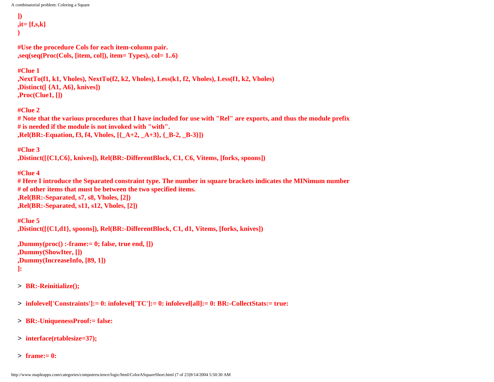```
])
,it= [f,s,k]
)
```
**#Use the procedure Cols for each item-column pair. ,seq(seq(Proc(Cols, [item, col]), item= Types), col= 1..6)**

**#Clue 1 ,NextTo(f1, k1, Vholes), NextTo(f2, k2, Vholes), Less(k1, f2, Vholes), Less(f1, k2, Vholes) ,Distinct([ {A1, A6}, knives]) ,Proc(Clue1, [])**

**#Clue 2 # Note that the various procedures that I have included for use with "Rel" are exports, and thus the module prefix # is needed if the module is not invoked with "with". ,Rel(BR:-Equation, f3, f4, Vholes, [{\_A+2, \_A+3}, {\_B-2, \_B-3}])**

```
#Clue 3
,Distinct([{C1,C6}, knives]), Rel(BR:-DifferentBlock, C1, C6, Vitems, [forks, spoons])
```
**#Clue 4 # Here I introduce the Separated constraint type. The number in square brackets indicates the MINimum number # of other items that must be between the two specified items. ,Rel(BR:-Separated, s7, s8, Vholes, [2]) ,Rel(BR:-Separated, s11, s12, Vholes, [2])**

**#Clue 5 ,Distinct([{C1,d1}, spoons]), Rel(BR:-DifferentBlock, C1, d1, Vitems, [forks, knives])**

```
,Dummy(proc() :-frame:= 0; false, true end, [])
,Dummy(ShowIter, [])
,Dummy(IncreaseInfo, [89, 1])
]:
```
- > **BR:-Reinitialize();**
- > **infolevel['Constraints']:= 0: infolevel['TC']:= 0: infolevel[all]:= 0: BR:-CollectStats:= true:**
- > **BR:-UniquenessProof:= false:**
- > **interface(rtablesize=37);**
- > **frame:= 0:**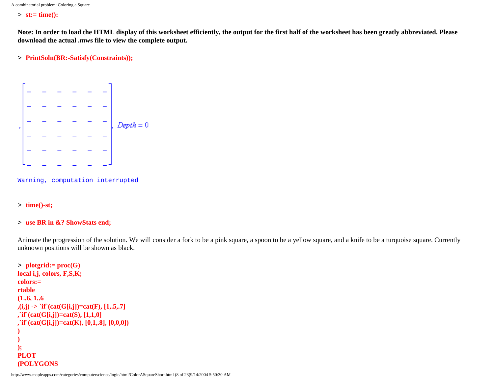> **st:= time():**

**Note: In order to load the HTML display of this worksheet efficiently, the output for the first half of the worksheet has been greatly abbreviated. Please download the actual .mws file to view the complete output.**

> **PrintSoln(BR:-Satisfy(Constraints));**



Warning, computation interrupted

> **time()-st;**

### > **use BR in &? ShowStats end;**

Animate the progression of the solution. We will consider a fork to be a pink square, a spoon to be a yellow square, and a knife to be a turquoise square. Currently unknown positions will be shown as black.

```
> plotgrid:= proc(G)
local i,j, colors, F,S,K;
colors:= 
rtable
(1..6, 1..6
\mathbf{f}(\mathbf{i}, \mathbf{j}) -> `if` (cat(G[i,j])=cat(F), [1,.5,.7]
,`if`(cat(G[i,j])=cat(S), [1,1,0]
,`if`(cat(G[i,j])=cat(K), [0,1,.8], [0,0,0])
)
)
);
PLOT
(POLYGONS
```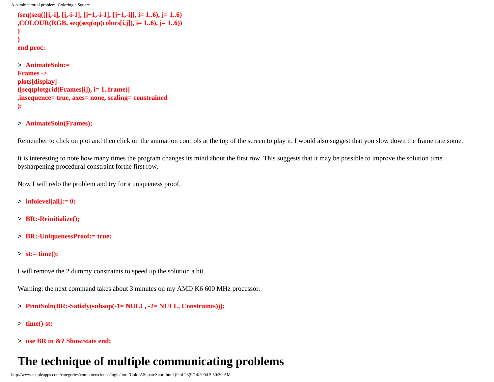```
(seq(seq([[j,-i], [j,-i-1], [j+1,-i-1], [j+1,-i]], i= 1..6), j= 1..6)
,COLOUR(RGB, seq(seq(op(colors[i,j]), i= 1..6), j= 1..6))
)
)
end proc:
> AnimateSoln:= 
Frames -> 
plots[display]
([seq(plotgrid(Frames[i]), i= 1..frame)]
```
- **,insequence= true, axes= none, scaling= constrained**
- **):**

### > **AnimateSoln(Frames);**

Remember to click on plot and then click on the animation controls at the top of the screen to play it. I would also suggest that you slow down the frame rate some.

It is interesting to note how many times the program changes its mind about the first row. This suggests that it may be possible to improve the solution time bysharpening procedural constraint forthe first row.

Now I will redo the problem and try for a uniqueness proof.

- > **infolevel[all]:= 0:**
- > **BR:-Reinitialize();**
- > **BR:-UniquenessProof:= true:**
- > **st:= time():**

I will remove the 2 dummy constraints to speed up the solution a bit.

Warning: the next command takes about 3 minutes on my AMD K6 600 MHz processor.

- > **PrintSoln(BR:-Satisfy(subsop(-1= NULL, -2= NULL, Constraints)));**
- > **time()-st;**
- > **use BR in &? ShowStats end;**

# **The technique of multiple communicating problems**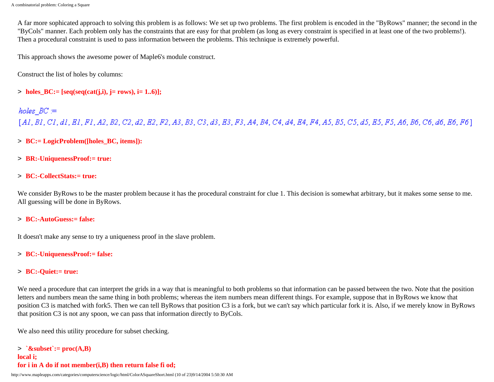A far more sophicated approach to solving this problem is as follows: We set up two problems. The first problem is encoded in the "ByRows" manner; the second in the "ByCols" manner. Each problem only has the constraints that are easy for that problem (as long as every constraint is specified in at least one of the two problems!). Then a procedural constraint is used to pass information between the problems. This technique is extremely powerful.

This approach shows the awesome power of Maple6's module construct.

Construct the list of holes by columns:

 $\geq$  holes BC:= [seq(seq(cat(j,i), j= rows), i= 1..6)];

## holes  $BC =$

[A1, B1, C1, d1, E1, F1, A2, B2, C2, d2, E2, F2, A3, B3, C3, d3, E3, F3, A4, B4, C4, d4, E4, F4, A5, B5, C5, d5, E5, F5, A6, B6, C6, d6, E6, F6]

- > **BC:= LogicProblem([holes\_BC, items]):**
- > **BR:-UniquenessProof:= true:**

### > **BC:-CollectStats:= true:**

We consider ByRows to be the master problem because it has the procedural constraint for clue 1. This decision is somewhat arbitrary, but it makes some sense to me. All guessing will be done in ByRows.

### > **BC:-AutoGuess:= false:**

It doesn't make any sense to try a uniqueness proof in the slave problem.

- > **BC:-UniquenessProof:= false:**
- > **BC:-Quiet:= true:**

We need a procedure that can interpret the grids in a way that is meaningful to both problems so that information can be passed between the two. Note that the position letters and numbers mean the same thing in both problems; whereas the item numbers mean different things. For example, suppose that in ByRows we know that position C3 is matched with fork5. Then we can tell ByRows that position C3 is a fork, but we can't say which particular fork it is. Also, if we merely know in ByRows that position C3 is not any spoon, we can pass that information directly to ByCols.

We also need this utility procedure for subset checking.

```
> `&subset`:= proc(A,B)
local i;
for i in A do if not member(i,B) then return false fi od;
```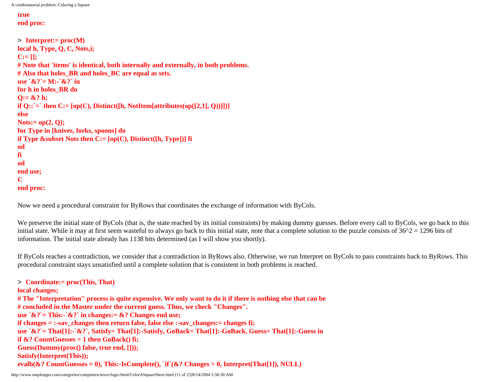```
A combinatorial problem: Coloring a Square
```

```
true
end proc:
```

```
> Interpret:= proc(M)
local h, Type, Q, C, Nots,i;
C:= [];
# Note that 'items' is identical, both internally and externally, in both problems.
# Also that holes_BR and holes_BC are equal as sets.
use \&? = M:-\&? in
for h in holes_BR do
Q:= &? h;
if Q:: \cong then C := [op(C), Distinct([h, NotItem[attributes(op([2,1], 0))]])]else
Nots:= op(2, Q);
for Type in [knives, forks, spoons] do 
if Type &subset Nots then C:= [op(C), Distinct([h, Type])] fi
od
fi
od
end use;
C
end proc:
```
Now we need a procedural constraint for ByRows that coordinates the exchange of information with ByCols.

We preserve the initial state of ByCols (that is, the state reached by its initial constraints) by making dummy guesses. Before every call to ByCols, we go back to this initial state. While it may at first seem wasteful to always go back to this initial state, note that a complete solution to the puzzle consists of  $36^2 = 1296$  bits of information. The initial state already has 1138 bits determined (as I will show you shortly).

If ByCols reaches a contradiction, we consider that a contradiction in ByRows also. Otherwise, we run Interpret on ByCols to pass constraints back to ByRows. This procedural constraint stays unsatisfied until a complete solution that is consistent in both problems is reached.

```
> Coordinate:= proc(This, That)
local changes;
# The "Interpretation" process is quite expensive. We only want to do it if there is nothing else that can be
# concluded in the Master under the current guess. Thus, we check "Changes". 
use `&?`= This:-`&?` in changes:= &? Changes end use; 
if changes = :-sav_changes then return false, false else :-sav_changes:= changes fi;
use `&?`= That[1]:-`&?`, Satisfy= That[1]:-Satisfy, GoBack= That[1]:-GoBack, Guess= That[1]:-Guess in 
if &? CountGuesses = 1 then GoBack() fi; 
Guess(Dummy(proc() false, true end, []));
Satisfy(Interpret(This)); 
evalb(&? CountGuesses = 0), This:-IsComplete(), `if`(&? Changes > 0, Interpret(That[1]), NULL)
```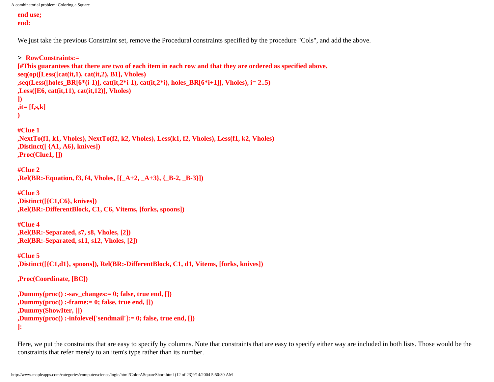```
end use;
end:
```
We just take the previous Constraint set, remove the Procedural constraints specified by the procedure "Cols", and add the above.

```
> RowConstraints:= 
[#This guarantees that there are two of each item in each row and that they are ordered as specified above.
seq(op([Less([cat(it,1), cat(it,2), B1], Vholes)
,seq(Less([holes BR[6*(i-1)], cat(it,2*i-1), cat(it,2*i), holes BR[6*(i-1)], Vholes), i= 2..5)
,Less([E6, cat(it,11), cat(it,12)], Vholes)
])
,it= [f,s,k]
)
#Clue 1
,NextTo(f1, k1, Vholes), NextTo(f2, k2, Vholes), Less(k1, f2, Vholes), Less(f1, k2, Vholes)
,Distinct([ {A1, A6}, knives])
,Proc(Clue1, [])
#Clue 2
,Rel(BR:-Equation, f3, f4, Vholes, [{_A+2, _A+3}, {_B-2, _B-3}])
#Clue 3
,Distinct([{C1,C6}, knives])
,Rel(BR:-DifferentBlock, C1, C6, Vitems, [forks, spoons])
#Clue 4
,Rel(BR:-Separated, s7, s8, Vholes, [2])
,Rel(BR:-Separated, s11, s12, Vholes, [2])
#Clue 5
,Distinct([{C1,d1}, spoons]), Rel(BR:-DifferentBlock, C1, d1, Vitems, [forks, knives])
,Proc(Coordinate, [BC])
,Dummy(proc() :-sav_changes:= 0; false, true end, [])
,Dummy(proc() :-frame:= 0; false, true end, [])
,Dummy(ShowIter, [])
,Dummy(proc() :-infolevel['sendmail']:= 0; false, true end, [])
```
**]:** 

Here, we put the constraints that are easy to specify by columns. Note that constraints that are easy to specify either way are included in both lists. Those would be the constraints that refer merely to an item's type rather than its number.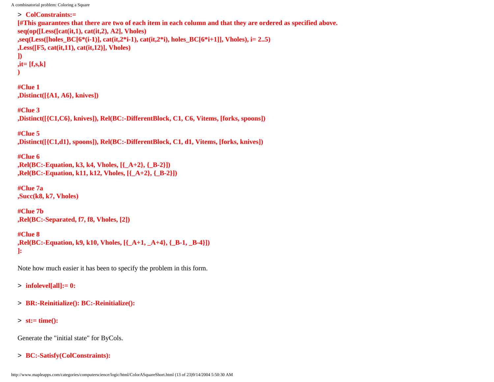```
> ColConstraints:= 
[#This guarantees that there are two of each item in each column and that they are ordered as specified above.
seq(op([Less([cat(it,1), cat(it,2), A2], Vholes)
,seq(Less([holes_BC[6*(i-1)], cat(it,2*i-1), cat(it,2*i), holes_BC[6*i+1]], Vholes), i= 2..5)
,Less([F5, cat(it,11), cat(it,12)], Vholes)
])
,it= [f,s,k]
)
```
**#Clue 1 ,Distinct([{A1, A6}, knives])**

**#Clue 3 ,Distinct([{C1,C6}, knives]), Rel(BC:-DifferentBlock, C1, C6, Vitems, [forks, spoons])**

**#Clue 5 ,Distinct([{C1,d1}, spoons]), Rel(BC:-DifferentBlock, C1, d1, Vitems, [forks, knives])**

**#Clue 6 ,Rel(BC:-Equation, k3, k4, Vholes, [{\_A+2}, {\_B-2}]) ,Rel(BC:-Equation, k11, k12, Vholes, [{\_A+2}, {\_B-2}])**

**#Clue 7a ,Succ(k8, k7, Vholes)**

**#Clue 7b ,Rel(BC:-Separated, f7, f8, Vholes, [2])**

**#Clue 8 ,Rel(BC:-Equation, k9, k10, Vholes, [{\_A+1, \_A+4}, {\_B-1, \_B-4}]) ]:** 

Note how much easier it has been to specify the problem in this form.

> **infolevel[all]:= 0:**

> **BR:-Reinitialize(): BC:-Reinitialize():**

> **st:= time():**

Generate the "initial state" for ByCols.

> **BC:-Satisfy(ColConstraints):**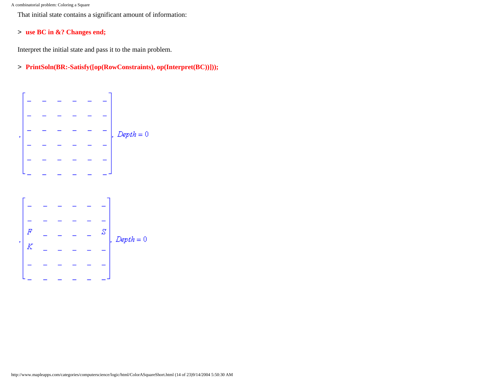That initial state contains a significant amount of information:

### > **use BC in &? Changes end;**

Interpret the initial state and pass it to the main problem.

> **PrintSoln(BR:-Satisfy([op(RowConstraints), op(Interpret(BC))]));**



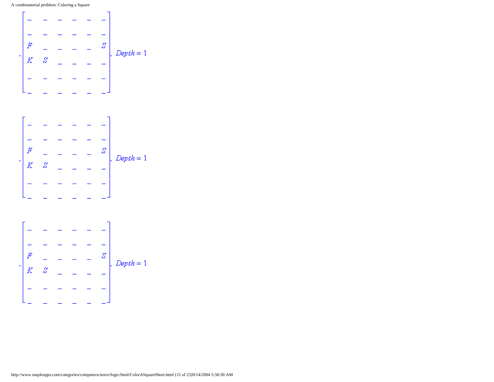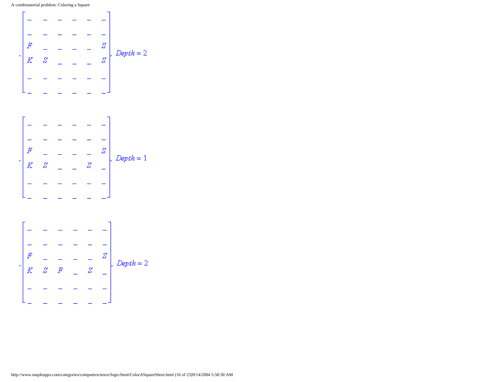

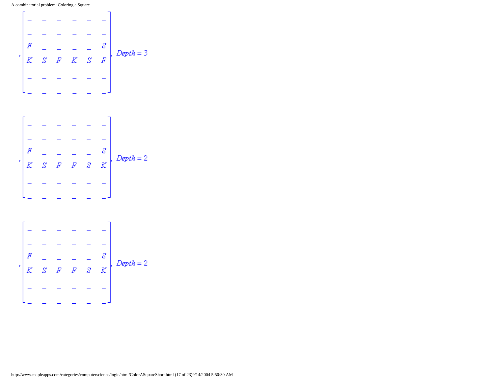

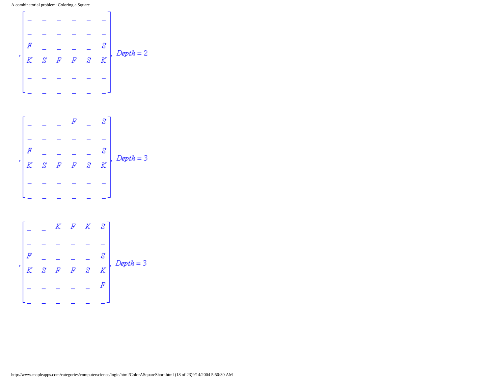

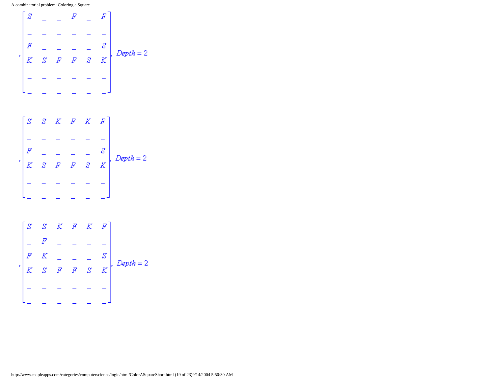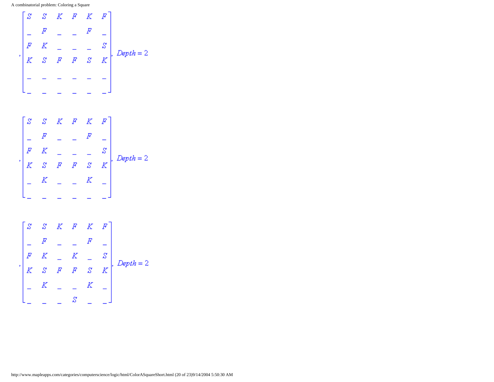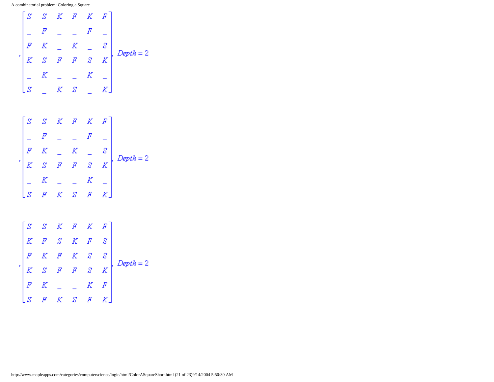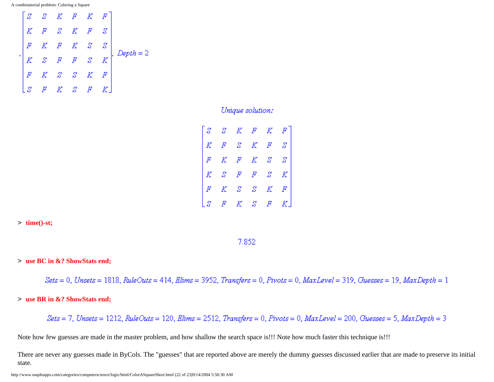

Unique solution:

|  | $\begin{bmatrix} S & S & K & F & K & F \\ K & F & S & K & F & S \\ F & K & F & K & S & S \\ K & S & F & F & S & K \\ F & K & S & S & K & F \\ S & F & K & S & F & K \end{bmatrix}$ |  |  |
|--|------------------------------------------------------------------------------------------------------------------------------------------------------------------------------------|--|--|
|  |                                                                                                                                                                                    |  |  |
|  |                                                                                                                                                                                    |  |  |
|  |                                                                                                                                                                                    |  |  |

#### > **time()-st;**

7.852

### > **use BC in &? ShowStats end;**

 $Sets = 0$ , Unsets = 1818, RuleOuts = 414, Elims = 3952, Transfers = 0, Pivots = 0, MaxLevel = 319, Guesses = 19, MaxDepth = 1

### > **use BR in &? ShowStats end;**

 $Sets = 7$ , Unsets = 1212, RuleOuts = 120, Elims = 2512, Transfers = 0, Pivots = 0, MaxLevel = 200, Guesses = 5, MaxDepth = 3

Note how few guesses are made in the master problem, and how shallow the search space is!!! Note how much faster this technique is!!!

There are never any guesses made in ByCols. The "guesses" that are reported above are merely the dummy guesses discussed earlier that are made to preserve its initial state.